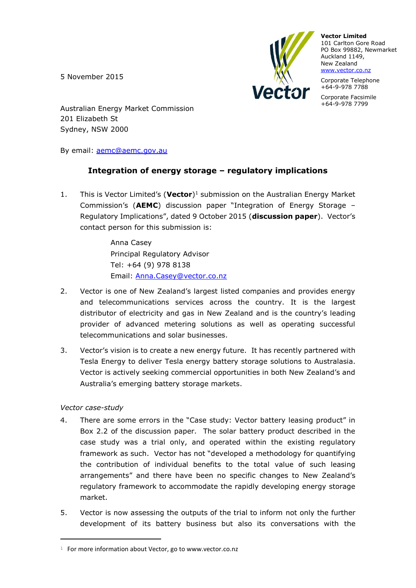5 November 2015



**Vector Limited** 101 Carlton Gore Road PO Box 99882, Newmarket Auckland 1149, New Zealand [www.vector.co.nz](http://www.vector.co.nz/)

Corporate Telephone +64-9-978 7788

Corporate Facsimile +64-9-978 7799

Australian Energy Market Commission 201 Elizabeth St Sydney, NSW 2000

By email: [aemc@aemc.gov.au](mailto:aemc@aemc.gov.au)

## **Integration of energy storage – regulatory implications**

1. This is Vector Limited's (**Vector**)<sup>1</sup> submission on the Australian Energy Market Commission's (**AEMC**) discussion paper "Integration of Energy Storage – Regulatory Implications", dated 9 October 2015 (**discussion paper**). Vector's contact person for this submission is:

> Anna Casey Principal Regulatory Advisor Tel: +64 (9) 978 8138 Email: [Anna.Casey@vector.co.nz](mailto:Anna.Casey@vector.co.nz)

- 2. Vector is one of New Zealand's largest listed companies and provides energy and telecommunications services across the country. It is the largest distributor of electricity and gas in New Zealand and is the country's leading provider of advanced metering solutions as well as operating successful telecommunications and solar businesses.
- 3. Vector's vision is to create a new energy future. It has recently partnered with Tesla Energy to deliver Tesla energy battery storage solutions to Australasia. Vector is actively seeking commercial opportunities in both New Zealand's and Australia's emerging battery storage markets.

## *Vector case-study*

i<br>L

- 4. There are some errors in the "Case study: Vector battery leasing product" in Box 2.2 of the discussion paper. The solar battery product described in the case study was a trial only, and operated within the existing regulatory framework as such. Vector has not "developed a methodology for quantifying the contribution of individual benefits to the total value of such leasing arrangements" and there have been no specific changes to New Zealand's regulatory framework to accommodate the rapidly developing energy storage market.
- 5. Vector is now assessing the outputs of the trial to inform not only the further development of its battery business but also its conversations with the

<sup>&</sup>lt;sup>1</sup> For more information about Vector, go to www.vector.co.nz